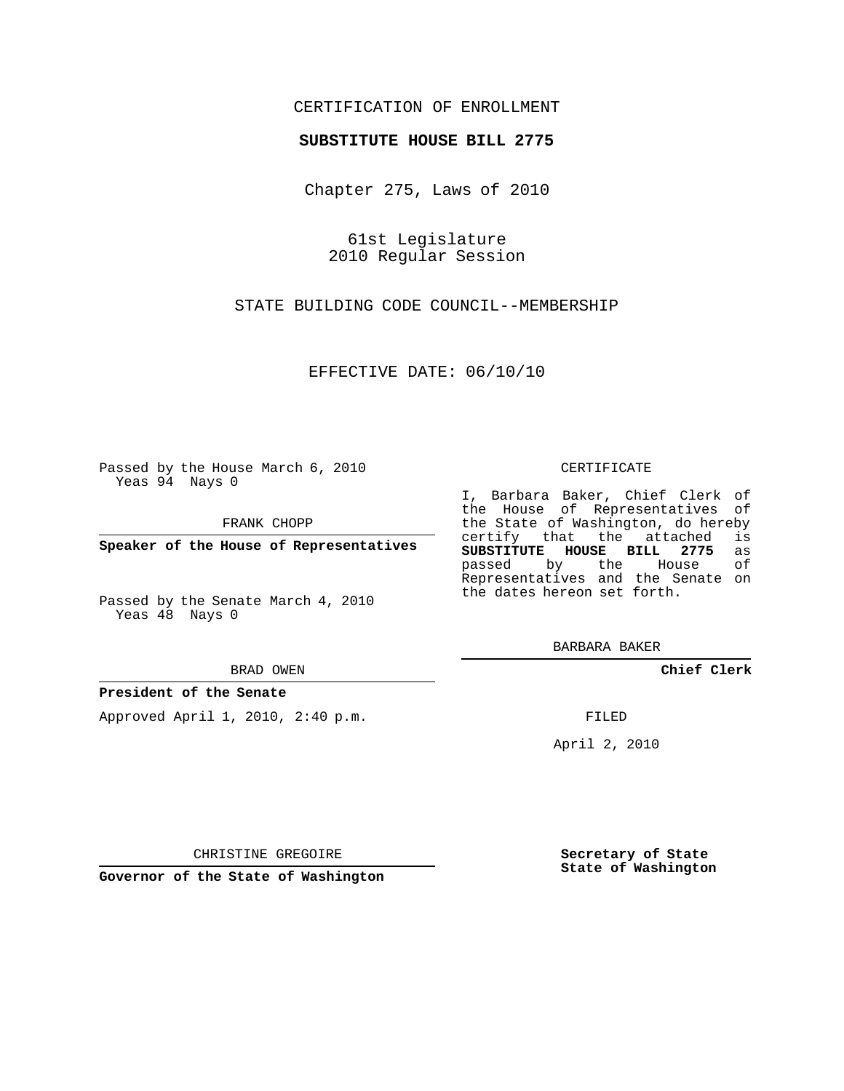# CERTIFICATION OF ENROLLMENT

## **SUBSTITUTE HOUSE BILL 2775**

Chapter 275, Laws of 2010

61st Legislature 2010 Regular Session

STATE BUILDING CODE COUNCIL--MEMBERSHIP

EFFECTIVE DATE: 06/10/10

Passed by the House March 6, 2010 Yeas 94 Nays 0

FRANK CHOPP

**Speaker of the House of Representatives**

Passed by the Senate March 4, 2010 Yeas 48 Nays 0

BRAD OWEN

## **President of the Senate**

Approved April 1, 2010, 2:40 p.m.

#### CERTIFICATE

I, Barbara Baker, Chief Clerk of the House of Representatives of the State of Washington, do hereby<br>certify that the attached is certify that the attached **SUBSTITUTE HOUSE BILL 2775** as passed by the House Representatives and the Senate on the dates hereon set forth.

BARBARA BAKER

**Chief Clerk**

FILED

April 2, 2010

**Secretary of State State of Washington**

CHRISTINE GREGOIRE

**Governor of the State of Washington**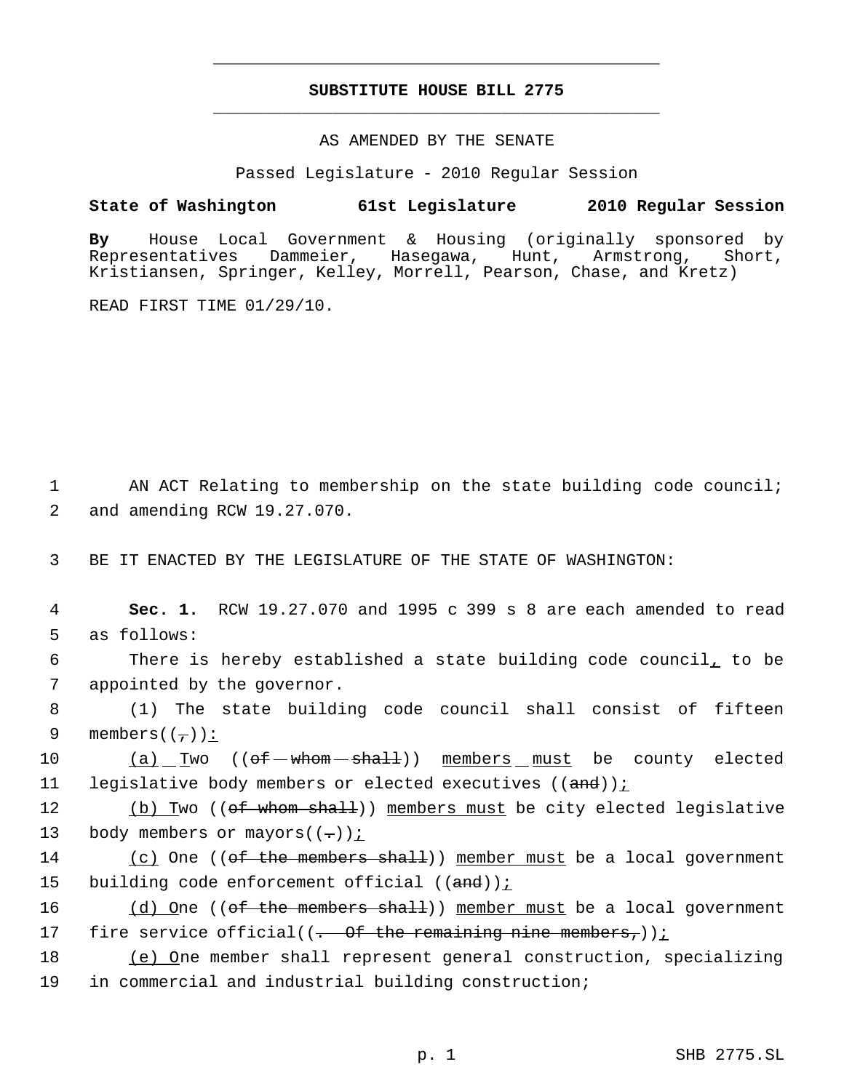# **SUBSTITUTE HOUSE BILL 2775** \_\_\_\_\_\_\_\_\_\_\_\_\_\_\_\_\_\_\_\_\_\_\_\_\_\_\_\_\_\_\_\_\_\_\_\_\_\_\_\_\_\_\_\_\_

\_\_\_\_\_\_\_\_\_\_\_\_\_\_\_\_\_\_\_\_\_\_\_\_\_\_\_\_\_\_\_\_\_\_\_\_\_\_\_\_\_\_\_\_\_

## AS AMENDED BY THE SENATE

Passed Legislature - 2010 Regular Session

# **State of Washington 61st Legislature 2010 Regular Session**

**By** House Local Government & Housing (originally sponsored by Representatives Dammeier, Hasegawa, Hunt, Armstrong, Short, Kristiansen, Springer, Kelley, Morrell, Pearson, Chase, and Kretz)

READ FIRST TIME 01/29/10.

1 AN ACT Relating to membership on the state building code council; 2 and amending RCW 19.27.070.

3 BE IT ENACTED BY THE LEGISLATURE OF THE STATE OF WASHINGTON:

 4 **Sec. 1.** RCW 19.27.070 and 1995 c 399 s 8 are each amended to read 5 as follows:

 6 There is hereby established a state building code council, to be 7 appointed by the governor.

 8 (1) The state building code council shall consist of fifteen 9 members( $(\tau)$ ):

10  $(a)$  Two  $(\theta + -\theta + \theta + \theta)$  members must be county elected 11 legislative body members or elected executives ((and))<u>;</u>

12 (b) Two ((of whom shall)) members must be city elected legislative 13 body members or mayors( $(-)$ );

14 (c) One ((of the members shall)) member must be a local government 15 building code enforcement official ((and))<u>;</u>

16 (d) One ((of the members shall)) member must be a local government 17 fire service official( $(-$  Of the remaining nine members,));

18 (e) One member shall represent general construction, specializing 19 in commercial and industrial building construction;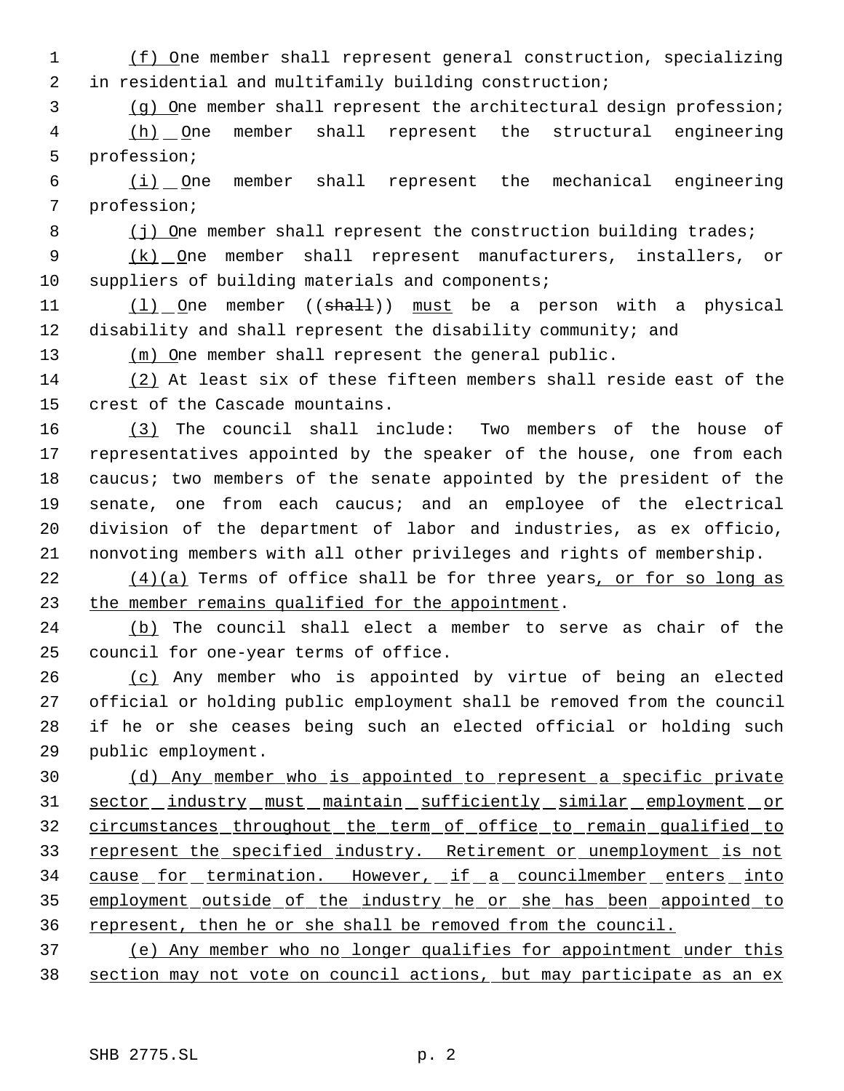(f) One member shall represent general construction, specializing in residential and multifamily building construction;

(g) One member shall represent the architectural design profession;

 (h) One member shall represent the structural engineering profession;

 $\frac{(i)}{i}$  One member shall represent the mechanical engineering profession;

8 (j) One member shall represent the construction building trades;

9 (k) One member shall represent manufacturers, installers, or suppliers of building materials and components;

11 (1) One member ((shall)) must be a person with a physical disability and shall represent the disability community; and

13 (m) One member shall represent the general public.

 (2) At least six of these fifteen members shall reside east of the crest of the Cascade mountains.

 (3) The council shall include: Two members of the house of representatives appointed by the speaker of the house, one from each 18 caucus; two members of the senate appointed by the president of the senate, one from each caucus; and an employee of the electrical division of the department of labor and industries, as ex officio, nonvoting members with all other privileges and rights of membership.

 $(4)(a)$  Terms of office shall be for three years, or for so long as the member remains qualified for the appointment.

 (b) The council shall elect a member to serve as chair of the council for one-year terms of office.

 (c) Any member who is appointed by virtue of being an elected official or holding public employment shall be removed from the council if he or she ceases being such an elected official or holding such public employment.

 (d) Any member who is appointed to represent a specific private 31 sector industry must maintain sufficiently similar employment or circumstances throughout the term of office to remain qualified to 33 represent the specified industry. Retirement or unemployment is not 34 cause for termination. However, if a councilmember enters into employment outside of the industry he or she has been appointed to represent, then he or she shall be removed from the council.

 (e) Any member who no longer qualifies for appointment under this section may not vote on council actions, but may participate as an ex